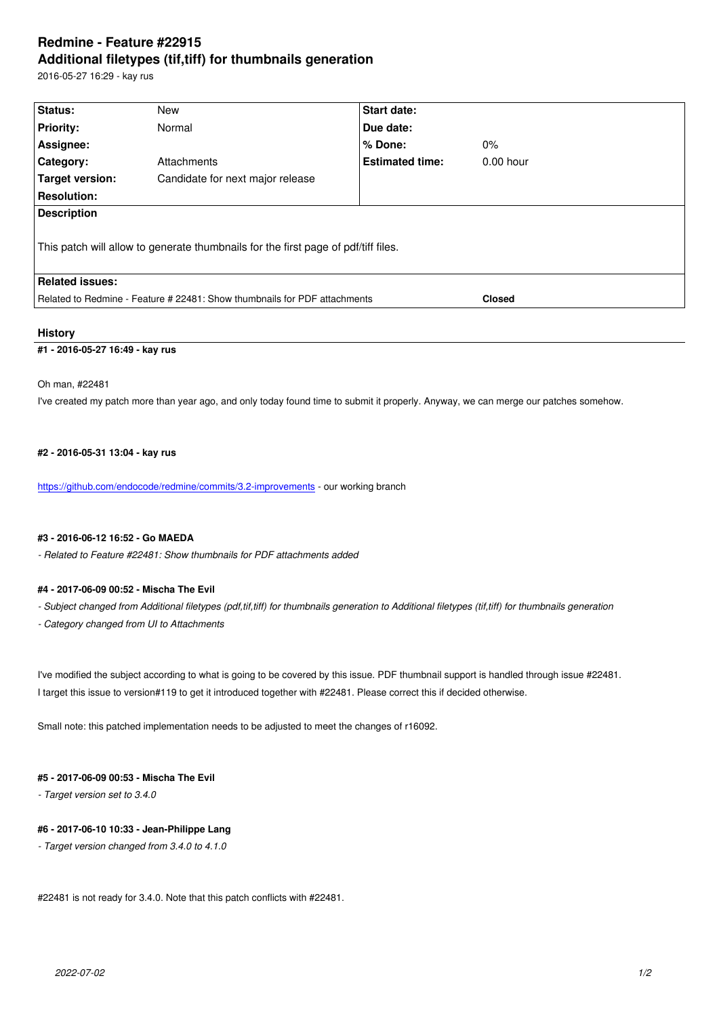#### **Additional filetypes (tif,tiff) for thumbnails generation**

2016-05-27 16:29 - kay rus

| <b>Status:</b>                                                                     | New                              | <b>Start date:</b>     |               |
|------------------------------------------------------------------------------------|----------------------------------|------------------------|---------------|
| <b>Priority:</b>                                                                   | Normal                           | Due date:              |               |
| Assignee:                                                                          |                                  | $%$ Done:              | $0\%$         |
| Category:                                                                          | Attachments                      | <b>Estimated time:</b> | $0.00$ hour   |
| <b>Target version:</b>                                                             | Candidate for next major release |                        |               |
| <b>Resolution:</b>                                                                 |                                  |                        |               |
| <b>Description</b>                                                                 |                                  |                        |               |
| This patch will allow to generate thumbnails for the first page of pdf/tiff files. |                                  |                        |               |
| <b>Related issues:</b>                                                             |                                  |                        |               |
| Related to Redmine - Feature # 22481: Show thumbnails for PDF attachments          |                                  |                        | <b>Closed</b> |
|                                                                                    |                                  |                        |               |

# **History**

#### **#1 - 2016-05-27 16:49 - kay rus**

#### Oh man, #22481

I've created my patch more than year ago, and only today found time to submit it properly. Anyway, we can merge our patches somehow.

### **#2 - 2016-05-31 13:04 - kay rus**

https://github.com/endocode/redmine/commits/3.2-improvements - our working branch

#### **#3 - 2016-06-12 16:52 - Go MAEDA**

*[- Related to Feature #22481: Show thumbnails for PDF attachme](https://github.com/endocode/redmine/commits/3.2-improvements)nts added*

#### **#4 - 2017-06-09 00:52 - Mischa The Evil**

- *Subject changed from Additional filetypes (pdf,tif,tiff) for thumbnails generation to Additional filetypes (tif,tiff) for thumbnails generation*
- *Category changed from UI to Attachments*

I've modified the subject according to what is going to be covered by this issue. PDF thumbnail support is handled through issue #22481. I target this issue to version#119 to get it introduced together with #22481. Please correct this if decided otherwise.

Small note: this patched implementation needs to be adjusted to meet the changes of r16092.

# **#5 - 2017-06-09 00:53 - Mischa The Evil**

*- Target version set to 3.4.0*

# **#6 - 2017-06-10 10:33 - Jean-Philippe Lang**

*- Target version changed from 3.4.0 to 4.1.0*

#22481 is not ready for 3.4.0. Note that this patch conflicts with #22481.